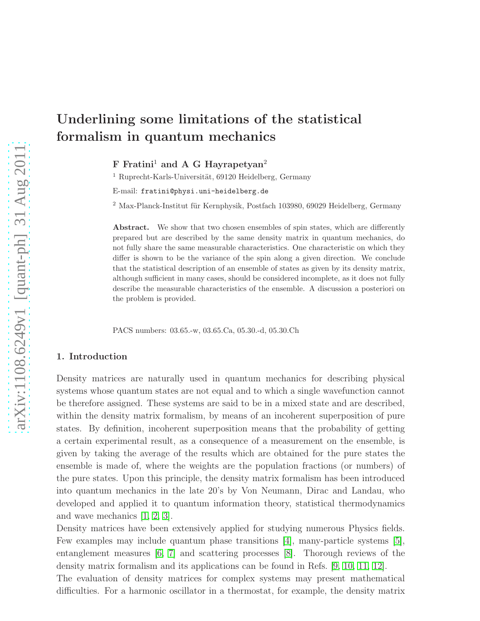# Underlining some limitations of the statistical formalism in quantum mechanics

 $F$  Fratini<sup>1</sup> and A G Hayrapetyan<sup>2</sup>

 $1$  Ruprecht-Karls-Universität, 69120 Heidelberg, Germany

E-mail: fratini@physi.uni-heidelberg.de

 $2$  Max-Planck-Institut für Kernphysik, Postfach 103980, 69029 Heidelberg, Germany

Abstract. We show that two chosen ensembles of spin states, which are differently prepared but are described by the same density matrix in quantum mechanics, do not fully share the same measurable characteristics. One characteristic on which they differ is shown to be the variance of the spin along a given direction. We conclude that the statistical description of an ensemble of states as given by its density matrix, although sufficient in many cases, should be considered incomplete, as it does not fully describe the measurable characteristics of the ensemble. A discussion a posteriori on the problem is provided.

PACS numbers: 03.65.-w, 03.65.Ca, 05.30.-d, 05.30.Ch

## 1. Introduction

Density matrices are naturally used in quantum mechanics for describing physical systems whose quantum states are not equal and to which a single wavefunction cannot be therefore assigned. These systems are said to be in a mixed state and are described, within the density matrix formalism, by means of an incoherent superposition of pure states. By definition, incoherent superposition means that the probability of getting a certain experimental result, as a consequence of a measurement on the ensemble, is given by taking the average of the results which are obtained for the pure states the ensemble is made of, where the weights are the population fractions (or numbers) of the pure states. Upon this principle, the density matrix formalism has been introduced into quantum mechanics in the late 20's by Von Neumann, Dirac and Landau, who developed and applied it to quantum information theory, statistical thermodynamics and wave mechanics [\[1,](#page-9-0) [2,](#page-9-1) [3\]](#page-9-2).

Density matrices have been extensively applied for studying numerous Physics fields. Few examples may include quantum phase transitions [\[4\]](#page-9-3), many-particle systems [\[5\]](#page-9-4), entanglement measures [\[6,](#page-9-5) [7\]](#page-9-6) and scattering processes [\[8\]](#page-9-7). Thorough reviews of the density matrix formalism and its applications can be found in Refs. [\[9,](#page-9-8) [10,](#page-9-9) [11,](#page-9-10) [12\]](#page-9-11).

The evaluation of density matrices for complex systems may present mathematical difficulties. For a harmonic oscillator in a thermostat, for example, the density matrix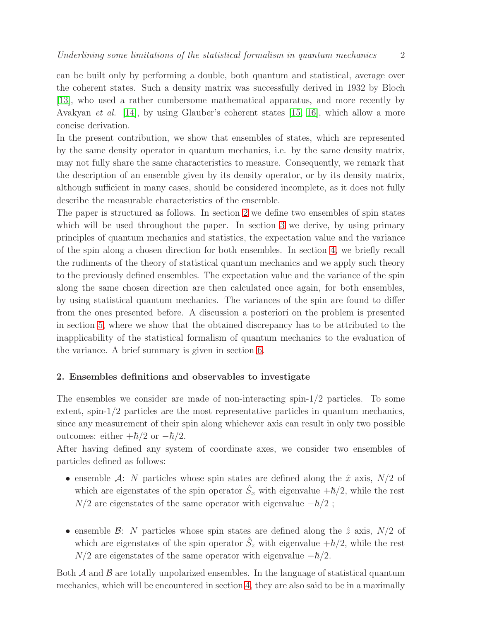can be built only by performing a double, both quantum and statistical, average over the coherent states. Such a density matrix was successfully derived in 1932 by Bloch [\[13\]](#page-9-12), who used a rather cumbersome mathematical apparatus, and more recently by Avakyan *et al.* [\[14\]](#page-9-13), by using Glauber's coherent states [\[15,](#page-9-14) [16\]](#page-9-15), which allow a more concise derivation.

In the present contribution, we show that ensembles of states, which are represented by the same density operator in quantum mechanics, i.e. by the same density matrix, may not fully share the same characteristics to measure. Consequently, we remark that the description of an ensemble given by its density operator, or by its density matrix, although sufficient in many cases, should be considered incomplete, as it does not fully describe the measurable characteristics of the ensemble.

The paper is structured as follows. In section [2](#page-1-0) we define two ensembles of spin states which will be used throughout the paper. In section [3](#page-3-0) we derive, by using primary principles of quantum mechanics and statistics, the expectation value and the variance of the spin along a chosen direction for both ensembles. In section [4,](#page-4-0) we briefly recall the rudiments of the theory of statistical quantum mechanics and we apply such theory to the previously defined ensembles. The expectation value and the variance of the spin along the same chosen direction are then calculated once again, for both ensembles, by using statistical quantum mechanics. The variances of the spin are found to differ from the ones presented before. A discussion a posteriori on the problem is presented in section [5,](#page-6-0) where we show that the obtained discrepancy has to be attributed to the inapplicability of the statistical formalism of quantum mechanics to the evaluation of the variance. A brief summary is given in section [6.](#page-8-0)

# <span id="page-1-0"></span>2. Ensembles definitions and observables to investigate

The ensembles we consider are made of non-interacting spin-1/2 particles. To some extent, spin-1/2 particles are the most representative particles in quantum mechanics, since any measurement of their spin along whichever axis can result in only two possible outcomes: either  $+\hbar/2$  or  $-\hbar/2$ .

After having defined any system of coordinate axes, we consider two ensembles of particles defined as follows:

- ensemble A: N particles whose spin states are defined along the  $\hat{x}$  axis,  $N/2$  of which are eigenstates of the spin operator  $\hat{S}_x$  with eigenvalue  $+\hbar/2$ , while the rest  $N/2$  are eigenstates of the same operator with eigenvalue  $-\hbar/2$ ;
- ensemble B: N particles whose spin states are defined along the  $\hat{z}$  axis,  $N/2$  of which are eigenstates of the spin operator  $\hat{S}_z$  with eigenvalue  $+\hbar/2$ , while the rest  $N/2$  are eigenstates of the same operator with eigenvalue  $-\hbar/2$ .

Both  $\mathcal A$  and  $\mathcal B$  are totally unpolarized ensembles. In the language of statistical quantum mechanics, which will be encountered in section [4,](#page-4-0) they are also said to be in a maximally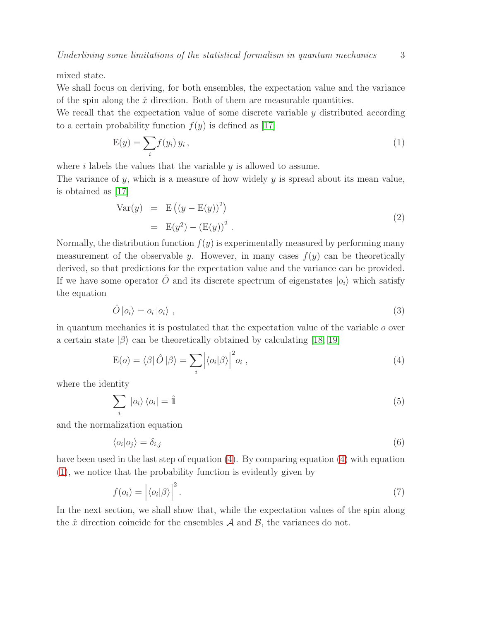mixed state.

We shall focus on deriving, for both ensembles, the expectation value and the variance of the spin along the  $\hat{x}$  direction. Both of them are measurable quantities.

We recall that the expectation value of some discrete variable  $\gamma$  distributed according to a certain probability function  $f(y)$  is defined as [\[17\]](#page-9-16)

<span id="page-2-1"></span>
$$
E(y) = \sum_{i} f(y_i) y_i,
$$
\n(1)

where  $i$  labels the values that the variable  $y$  is allowed to assume.

The variance of  $y$ , which is a measure of how widely  $y$  is spread about its mean value, is obtained as [\[17\]](#page-9-16)

<span id="page-2-4"></span>Var(y) = E (<sup>y</sup> <sup>−</sup> E(y))<sup>2</sup> = E(y 2 ) <sup>−</sup> (E(y))<sup>2</sup> . (2)

Normally, the distribution function  $f(y)$  is experimentally measured by performing many measurement of the observable y. However, in many cases  $f(y)$  can be theoretically derived, so that predictions for the expectation value and the variance can be provided. If we have some operator  $\hat{O}$  and its discrete spectrum of eigenstates  $|o_i\rangle$  which satisfy the equation

<span id="page-2-3"></span>
$$
\hat{O}\left|o_{i}\right\rangle = o_{i}\left|o_{i}\right\rangle ,\tag{3}
$$

in quantum mechanics it is postulated that the expectation value of the variable  $o$  over a certain state  $|\beta\rangle$  can be theoretically obtained by calculating [\[18,](#page-9-17) [19\]](#page-9-18)

<span id="page-2-0"></span>
$$
E(o) = \langle \beta | \hat{O} | \beta \rangle = \sum_{i} \left| \langle o_i | \beta \rangle \right|^2 o_i , \qquad (4)
$$

where the identity

$$
\sum_{i} |o_{i}\rangle\langle o_{i}| = \hat{\mathbb{1}} \tag{5}
$$

and the normalization equation

$$
\langle o_i | o_j \rangle = \delta_{i,j} \tag{6}
$$

have been used in the last step of equation [\(4\)](#page-2-0). By comparing equation [\(4\)](#page-2-0) with equation [\(1\)](#page-2-1), we notice that the probability function is evidently given by

<span id="page-2-2"></span>
$$
f(o_i) = |\langle o_i | \beta \rangle|^2.
$$
 (7)

In the next section, we shall show that, while the expectation values of the spin along the  $\hat{x}$  direction coincide for the ensembles  $A$  and  $B$ , the variances do not.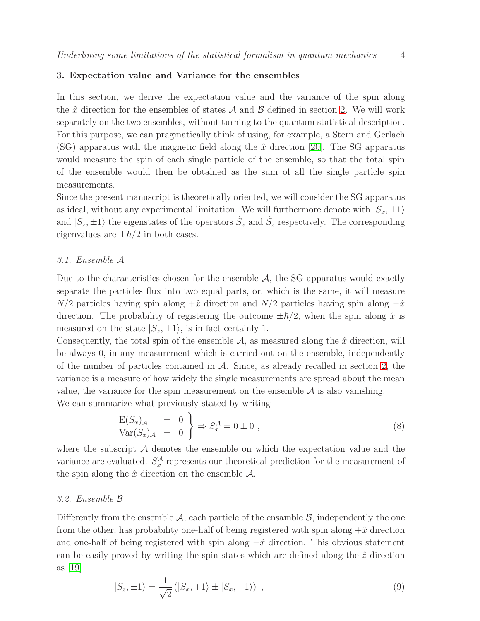## <span id="page-3-0"></span>3. Expectation value and Variance for the ensembles

In this section, we derive the expectation value and the variance of the spin along the  $\hat{x}$  direction for the ensembles of states  $\mathcal A$  and  $\mathcal B$  defined in section [2.](#page-1-0) We will work separately on the two ensembles, without turning to the quantum statistical description. For this purpose, we can pragmatically think of using, for example, a Stern and Gerlach (SG) apparatus with the magnetic field along the  $\hat{x}$  direction [\[20\]](#page-9-19). The SG apparatus would measure the spin of each single particle of the ensemble, so that the total spin of the ensemble would then be obtained as the sum of all the single particle spin measurements.

Since the present manuscript is theoretically oriented, we will consider the SG apparatus as ideal, without any experimental limitation. We will furthermore denote with  $|S_x, \pm 1\rangle$ and  $|S_z,\pm 1\rangle$  the eigenstates of the operators  $\hat{S}_x$  and  $\hat{S}_z$  respectively. The corresponding eigenvalues are  $\pm \hbar/2$  in both cases.

## 3.1. Ensemble A

Due to the characteristics chosen for the ensemble  $A$ , the SG apparatus would exactly separate the particles flux into two equal parts, or, which is the same, it will measure  $N/2$  particles having spin along  $+\hat{x}$  direction and  $N/2$  particles having spin along  $-\hat{x}$ direction. The probability of registering the outcome  $\pm \hbar/2$ , when the spin along  $\hat{x}$  is measured on the state  $|S_x, \pm 1\rangle$ , is in fact certainly 1.

Consequently, the total spin of the ensemble  $A$ , as measured along the  $\hat{x}$  direction, will be always 0, in any measurement which is carried out on the ensemble, independently of the number of particles contained in  $A$ . Since, as already recalled in section [2,](#page-1-0) the variance is a measure of how widely the single measurements are spread about the mean value, the variance for the spin measurement on the ensemble  $A$  is also vanishing.

We can summarize what previously stated by writing

<span id="page-3-2"></span>
$$
\begin{array}{rcl}\n\mathcal{E}(S_x)_{\mathcal{A}} & = & 0 \\
\text{Var}(S_x)_{\mathcal{A}} & = & 0\n\end{array}\n\right\}\n\Rightarrow S_x^{\mathcal{A}} = 0 \pm 0 \tag{8}
$$

where the subscript  $A$  denotes the ensemble on which the expectation value and the variance are evaluated.  $S_x^{\mathcal{A}}$  $x^{\mathcal{A}}$  represents our theoretical prediction for the measurement of the spin along the  $\hat{x}$  direction on the ensemble  $\mathcal{A}$ .

#### 3.2. Ensemble B

Differently from the ensemble  $\mathcal{A}$ , each particle of the ensamble  $\mathcal{B}$ , independently the one from the other, has probability one-half of being registered with spin along  $+\hat{x}$  direction and one-half of being registered with spin along  $-\hat{x}$  direction. This obvious statement can be easily proved by writing the spin states which are defined along the  $\hat{z}$  direction as [\[19\]](#page-9-18)

<span id="page-3-1"></span>
$$
|S_z, \pm 1\rangle = \frac{1}{\sqrt{2}} (|S_x, +1\rangle \pm |S_x, -1\rangle) , \qquad (9)
$$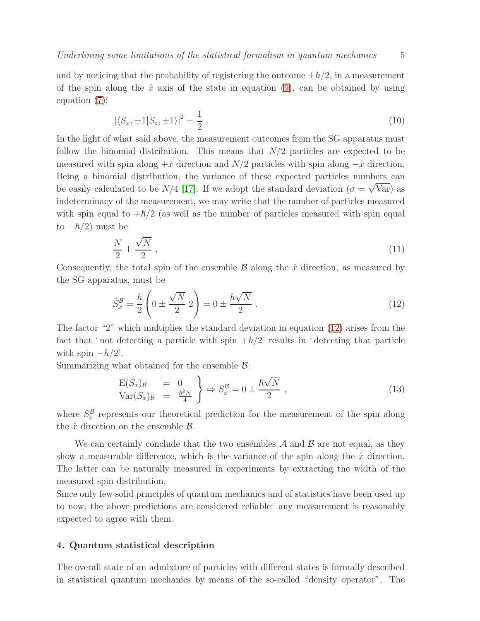and by noticing that the probability of registering the outcome  $\pm \hbar/2$ , in a measurement of the spin along the  $\hat{x}$  axis of the state in equation [\(9\)](#page-3-1), can be obtained by using equation [\(7\)](#page-2-2):

$$
|\langle S_x, \pm 1 | S_z, \pm 1 \rangle|^2 = \frac{1}{2} \tag{10}
$$

In the light of what said above, the measurement outcomes from the SG apparatus must follow the binomial distribution. This means that  $N/2$  particles are expected to be measured with spin along  $+\hat{x}$  direction and  $N/2$  particles with spin along  $-\hat{x}$  direction. Being a binomial distribution, the variance of these expected particles numbers can be easily calculated to be  $N/4$  [\[17\]](#page-9-16). If we adopt the standard deviation  $(\sigma = \sqrt{\text{Var}})$  as indeterminacy of the measurement, we may write that the number of particles measured with spin equal to  $+\hbar/2$  (as well as the number of particles measured with spin equal to  $-\hbar/2$ ) must be

$$
\frac{N}{2} \pm \frac{\sqrt{N}}{2} \,. \tag{11}
$$

Consequently, the total spin of the ensemble  $\mathcal B$  along the  $\hat x$  direction, as measured by the SG apparatus, must be

<span id="page-4-1"></span>
$$
\hat{S}_x^{\mathcal{B}} = \frac{\hbar}{2} \left( 0 \pm \frac{\sqrt{N}}{2} 2 \right) = 0 \pm \frac{\hbar \sqrt{N}}{2} . \tag{12}
$$

The factor "2" which multiplies the standard deviation in equation [\(12\)](#page-4-1) arises from the fact that ' not detecting a particle with spin  $+\hbar/2$ ' results in ' detecting that particle with spin  $-\hbar/2'$ .

Summarizing what obtained for the ensemble  $\mathcal{B}$ :

<span id="page-4-2"></span>
$$
\begin{array}{rcl}\n\mathcal{E}(S_x)_{\mathcal{B}} & = & 0 \\
\mathcal{V}\text{ar}(S_x)_{\mathcal{B}} & = & \frac{\hbar^2 N}{4} \\
\end{array}\n\right\} \Rightarrow S_x^{\mathcal{B}} = 0 \pm \frac{\hbar \sqrt{N}}{2} \,,\n\tag{13}
$$

where  $S_x^{\mathcal{B}}$  $\frac{B}{x}$  represents our theoretical prediction for the measurement of the spin along the  $\hat{x}$  direction on the ensemble  $\hat{B}$ .

We can certainly conclude that the two ensembles  $A$  and  $B$  are not equal, as they show a measurable difference, which is the variance of the spin along the  $\hat{x}$  direction. The latter can be naturally measured in experiments by extracting the width of the measured spin distribution.

Since only few solid principles of quantum mechanics and of statistics have been used up to now, the above predictions are considered reliable: any measurement is reasonably expected to agree with them.

#### <span id="page-4-0"></span>4. Quantum statistical description

The overall state of an admixture of particles with different states is formally described in statistical quantum mechanics by means of the so-called "density operator". The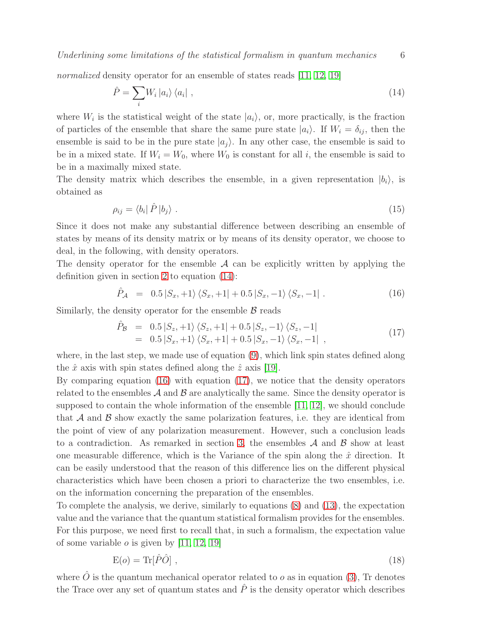Underlining some limitations of the statistical formalism in quantum mechanics 6

normalized density operator for an ensemble of states reads [\[11,](#page-9-10) [12,](#page-9-11) [19\]](#page-9-18)

<span id="page-5-0"></span>
$$
\hat{P} = \sum_{i} W_i \left| a_i \right\rangle \left\langle a_i \right| , \tag{14}
$$

where  $W_i$  is the statistical weight of the state  $|a_i\rangle$ , or, more practically, is the fraction of particles of the ensemble that share the same pure state  $|a_i\rangle$ . If  $W_i = \delta_{ij}$ , then the ensemble is said to be in the pure state  $|a_j\rangle$ . In any other case, the ensemble is said to be in a mixed state. If  $W_i = W_0$ , where  $W_0$  is constant for all i, the ensemble is said to be in a maximally mixed state.

The density matrix which describes the ensemble, in a given representation  $|b_i\rangle$ , is obtained as

$$
\rho_{ij} = \langle b_i | \hat{P} | b_j \rangle \tag{15}
$$

Since it does not make any substantial difference between describing an ensemble of states by means of its density matrix or by means of its density operator, we choose to deal, in the following, with density operators.

The density operator for the ensemble  $A$  can be explicitly written by applying the definition given in section [2](#page-1-0) to equation [\(14\)](#page-5-0):

<span id="page-5-1"></span>
$$
\hat{P}_{A} = 0.5 |S_{x}, +1\rangle \langle S_{x}, +1| + 0.5 |S_{x}, -1\rangle \langle S_{x}, -1|.
$$
\n(16)

Similarly, the density operator for the ensemble  $\beta$  reads

<span id="page-5-2"></span>
$$
\hat{P}_{\mathcal{B}} = 0.5 |S_z, +1\rangle \langle S_z, +1| + 0.5 |S_z, -1\rangle \langle S_z, -1| \n= 0.5 |S_x, +1\rangle \langle S_x, +1| + 0.5 |S_x, -1\rangle \langle S_x, -1| ,
$$
\n(17)

where, in the last step, we made use of equation [\(9\)](#page-3-1), which link spin states defined along the  $\hat{x}$  axis with spin states defined along the  $\hat{z}$  axis [\[19\]](#page-9-18).

By comparing equation [\(16\)](#page-5-1) with equation [\(17\)](#page-5-2), we notice that the density operators related to the ensembles  $\mathcal A$  and  $\mathcal B$  are analytically the same. Since the density operator is supposed to contain the whole information of the ensemble [\[11,](#page-9-10) [12\]](#page-9-11), we should conclude that  $A$  and  $B$  show exactly the same polarization features, i.e. they are identical from the point of view of any polarization measurement. However, such a conclusion leads to a contradiction. As remarked in section [3,](#page-3-0) the ensembles  $A$  and  $B$  show at least one measurable difference, which is the Variance of the spin along the  $\hat{x}$  direction. It can be easily understood that the reason of this difference lies on the different physical characteristics which have been chosen a priori to characterize the two ensembles, i.e. on the information concerning the preparation of the ensembles.

To complete the analysis, we derive, similarly to equations [\(8\)](#page-3-2) and [\(13\)](#page-4-2), the expectation value and the variance that the quantum statistical formalism provides for the ensembles. For this purpose, we need first to recall that, in such a formalism, the expectation value of some variable  $o$  is given by [\[11,](#page-9-10) [12,](#page-9-11) [19\]](#page-9-18)

<span id="page-5-3"></span>
$$
E(o) = \text{Tr}[\hat{P}\hat{O}], \qquad (18)
$$

where  $\hat{O}$  is the quantum mechanical operator related to  $o$  as in equation [\(3\)](#page-2-3), Tr denotes the Trace over any set of quantum states and  $\hat{P}$  is the density operator which describes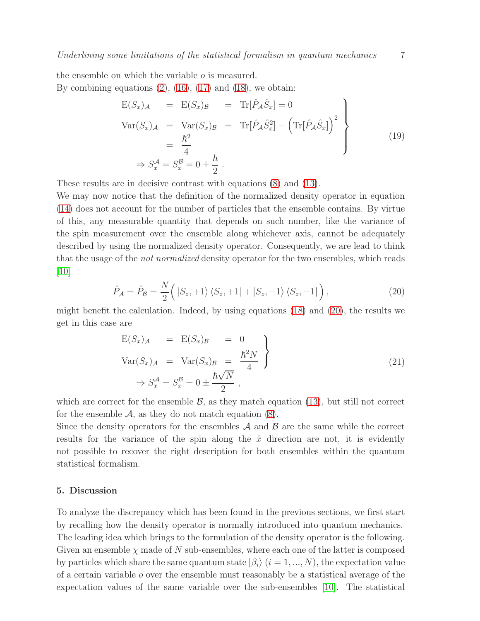the ensemble on which the variable o is measured. By combining equations  $(2)$ ,  $(16)$ ,  $(17)$  and  $(18)$ , we obtain:

$$
\begin{aligned}\n\mathcal{E}(S_x)_{\mathcal{A}} &= \mathcal{E}(S_x)_{\mathcal{B}} &= \text{Tr}[\hat{P}_{\mathcal{A}}\hat{S}_x] = 0 \\
\text{Var}(S_x)_{\mathcal{A}} &= \text{Var}(S_x)_{\mathcal{B}} &= \text{Tr}[\hat{P}_{\mathcal{A}}\hat{S}_x^2] - (\text{Tr}[\hat{P}_{\mathcal{A}}\hat{S}_x])^2 \\
&= \frac{\hbar^2}{4} \\
\Rightarrow S_x^{\mathcal{A}} = S_x^{\mathcal{B}} = 0 \pm \frac{\hbar}{2} .\n\end{aligned} \tag{19}
$$

These results are in decisive contrast with equations [\(8\)](#page-3-2) and [\(13\)](#page-4-2).

We may now notice that the definition of the normalized density operator in equation [\(14\)](#page-5-0) does not account for the number of particles that the ensemble contains. By virtue of this, any measurable quantity that depends on such number, like the variance of the spin measurement over the ensemble along whichever axis, cannot be adequately described by using the normalized density operator. Consequently, we are lead to think that the usage of the not normalized density operator for the two ensembles, which reads [\[10\]](#page-9-9)

<span id="page-6-1"></span>
$$
\hat{P}_{\mathcal{A}} = \hat{P}_{\mathcal{B}} = \frac{N}{2} \Big( |S_z, +1\rangle \langle S_z, +1| + |S_z, -1\rangle \langle S_z, -1| \Big), \tag{20}
$$

might benefit the calculation. Indeed, by using equations [\(18\)](#page-5-3) and [\(20\)](#page-6-1), the results we get in this case are

$$
E(S_x)_{\mathcal{A}} = E(S_x)_{\mathcal{B}} = 0
$$
  
\n
$$
Var(S_x)_{\mathcal{A}} = Var(S_x)_{\mathcal{B}} = \frac{\hbar^2 N}{4}
$$
  
\n
$$
\Rightarrow S_x^{\mathcal{A}} = S_x^{\mathcal{B}} = 0 \pm \frac{\hbar \sqrt{N}}{2},
$$
\n(21)

which are correct for the ensemble  $\mathcal{B}$ , as they match equation [\(13\)](#page-4-2), but still not correct for the ensemble  $A$ , as they do not match equation  $(8)$ .

Since the density operators for the ensembles  $A$  and  $B$  are the same while the correct results for the variance of the spin along the  $\hat{x}$  direction are not, it is evidently not possible to recover the right description for both ensembles within the quantum statistical formalism.

## <span id="page-6-0"></span>5. Discussion

To analyze the discrepancy which has been found in the previous sections, we first start by recalling how the density operator is normally introduced into quantum mechanics. The leading idea which brings to the formulation of the density operator is the following. Given an ensemble  $\chi$  made of N sub-ensembles, where each one of the latter is composed by particles which share the same quantum state  $|\beta_i\rangle$  ( $i = 1, ..., N$ ), the expectation value of a certain variable o over the ensemble must reasonably be a statistical average of the expectation values of the same variable over the sub-ensembles [\[10\]](#page-9-9). The statistical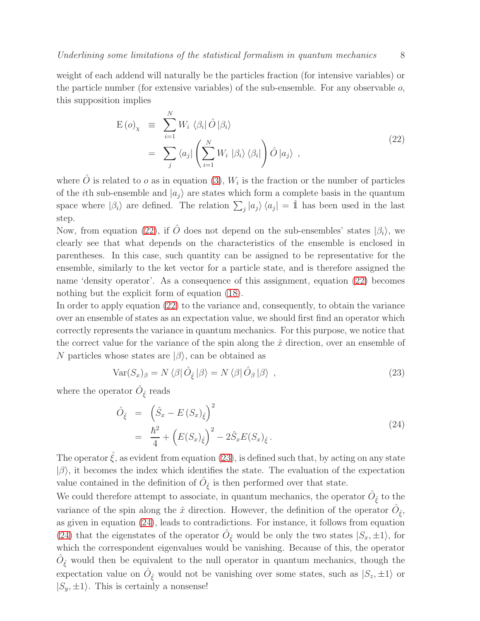weight of each addend will naturally be the particles fraction (for intensive variables) or the particle number (for extensive variables) of the sub-ensemble. For any observable  $o$ , this supposition implies

<span id="page-7-0"></span>
$$
E(o)_\chi \equiv \sum_{i=1}^N W_i \langle \beta_i | \hat{O} | \beta_i \rangle
$$
  

$$
= \sum_j \langle a_j | \left( \sum_{i=1}^N W_i | \beta_i \rangle \langle \beta_i | \right) \hat{O} | a_j \rangle , \qquad (22)
$$

where  $\hat{O}$  is related to  $o$  as in equation [\(3\)](#page-2-3),  $W_i$  is the fraction or the number of particles of the *i*th sub-ensemble and  $|a_i\rangle$  are states which form a complete basis in the quantum space where  $|\beta_i\rangle$  are defined. The relation  $\sum_j |a_j\rangle \langle a_j| = \hat{\mathbb{1}}$  has been used in the last step.

Now, from equation [\(22\)](#page-7-0), if  $\hat{O}$  does not depend on the sub-ensembles' states  $|\beta_i\rangle$ , we clearly see that what depends on the characteristics of the ensemble is enclosed in parentheses. In this case, such quantity can be assigned to be representative for the ensemble, similarly to the ket vector for a particle state, and is therefore assigned the name 'density operator'. As a consequence of this assignment, equation [\(22\)](#page-7-0) becomes nothing but the explicit form of equation [\(18\)](#page-5-3).

In order to apply equation [\(22\)](#page-7-0) to the variance and, consequently, to obtain the variance over an ensemble of states as an expectation value, we should first find an operator which correctly represents the variance in quantum mechanics. For this purpose, we notice that the correct value for the variance of the spin along the  $\hat{x}$  direction, over an ensemble of N particles whose states are  $|\beta\rangle$ , can be obtained as

<span id="page-7-1"></span>
$$
Var(S_x)_{\beta} = N \langle \beta | \hat{O}_{\hat{\xi}} | \beta \rangle = N \langle \beta | \hat{O}_{\beta} | \beta \rangle , \qquad (23)
$$

where the operator  $\hat{O}_{\hat{\xi}}$  reads

<span id="page-7-2"></span>
$$
\hat{O}_{\hat{\xi}} = \left(\hat{S}_x - E\left(S_x\right)_{\hat{\xi}}\right)^2
$$
\n
$$
= \frac{\hbar^2}{4} + \left(E(S_x)_{\hat{\xi}}\right)^2 - 2\hat{S}_x E(S_x)_{\hat{\xi}}.
$$
\n(24)

The operator  $\hat{\xi}$ , as evident from equation [\(23\)](#page-7-1), is defined such that, by acting on any state  $|\beta\rangle$ , it becomes the index which identifies the state. The evaluation of the expectation value contained in the definition of  $\hat{O}_{\hat{\xi}}$  is then performed over that state.

We could therefore attempt to associate, in quantum mechanics, the operator  $\hat{O}_{\hat{\xi}}$  to the variance of the spin along the  $\hat{x}$  direction. However, the definition of the operator  $\hat{O}_{\hat{\xi}},$ as given in equation [\(24\)](#page-7-2), leads to contradictions. For instance, it follows from equation [\(24\)](#page-7-2) that the eigenstates of the operator  $\hat{O}_{\hat{\xi}}$  would be only the two states  $|S_x, \pm 1\rangle$ , for which the correspondent eigenvalues would be vanishing. Because of this, the operator  $\hat{O}_{\hat{\xi}}$  would then be equivalent to the null operator in quantum mechanics, though the expectation value on  $\hat{O}_{\xi}$  would not be vanishing over some states, such as  $|S_z,\pm 1\rangle$  or  $|S_y, \pm 1\rangle$ . This is certainly a nonsense!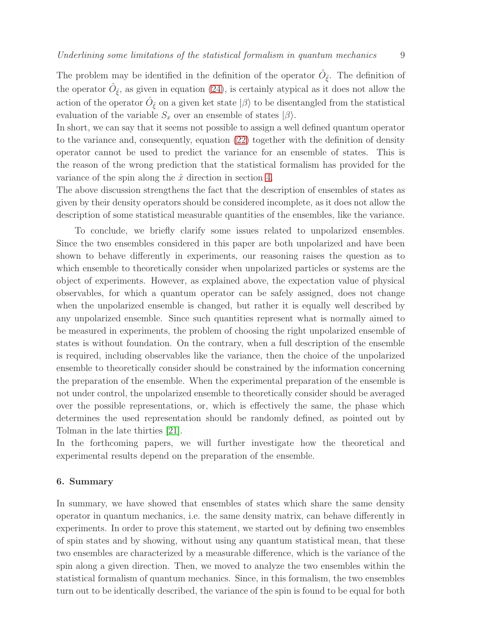The problem may be identified in the definition of the operator  $\hat{O}_{\hat{\xi}}$ . The definition of the operator  $\hat{O}_{\hat{\xi}}$ , as given in equation [\(24\)](#page-7-2), is certainly atypical as it does not allow the action of the operator  $\hat{O}_{\hat{\xi}}$  on a given ket state  $|\beta\rangle$  to be disentangled from the statistical evaluation of the variable  $S_x$  over an ensemble of states  $|\beta\rangle$ .

In short, we can say that it seems not possible to assign a well defined quantum operator to the variance and, consequently, equation [\(22\)](#page-7-0) together with the definition of density operator cannot be used to predict the variance for an ensemble of states. This is the reason of the wrong prediction that the statistical formalism has provided for the variance of the spin along the  $\hat{x}$  direction in section [4.](#page-4-0)

The above discussion strengthens the fact that the description of ensembles of states as given by their density operators should be considered incomplete, as it does not allow the description of some statistical measurable quantities of the ensembles, like the variance.

To conclude, we briefly clarify some issues related to unpolarized ensembles. Since the two ensembles considered in this paper are both unpolarized and have been shown to behave differently in experiments, our reasoning raises the question as to which ensemble to theoretically consider when unpolarized particles or systems are the object of experiments. However, as explained above, the expectation value of physical observables, for which a quantum operator can be safely assigned, does not change when the unpolarized ensemble is changed, but rather it is equally well described by any unpolarized ensemble. Since such quantities represent what is normally aimed to be measured in experiments, the problem of choosing the right unpolarized ensemble of states is without foundation. On the contrary, when a full description of the ensemble is required, including observables like the variance, then the choice of the unpolarized ensemble to theoretically consider should be constrained by the information concerning the preparation of the ensemble. When the experimental preparation of the ensemble is not under control, the unpolarized ensemble to theoretically consider should be averaged over the possible representations, or, which is effectively the same, the phase which determines the used representation should be randomly defined, as pointed out by Tolman in the late thirties [\[21\]](#page-9-20).

In the forthcoming papers, we will further investigate how the theoretical and experimental results depend on the preparation of the ensemble.

# <span id="page-8-0"></span>6. Summary

In summary, we have showed that ensembles of states which share the same density operator in quantum mechanics, i.e. the same density matrix, can behave differently in experiments. In order to prove this statement, we started out by defining two ensembles of spin states and by showing, without using any quantum statistical mean, that these two ensembles are characterized by a measurable difference, which is the variance of the spin along a given direction. Then, we moved to analyze the two ensembles within the statistical formalism of quantum mechanics. Since, in this formalism, the two ensembles turn out to be identically described, the variance of the spin is found to be equal for both